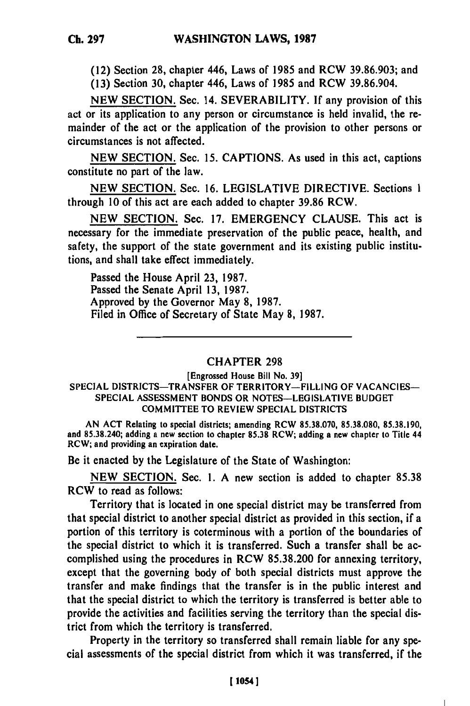(12) Section **28,** chapter 446, Laws of **1985** and RCW **39.86.903;** and

**(13)** Section **30,** chapter 446, Laws of **1985** and RCW **39.86.904.**

**NEW SECTION.** Sec. 14. SEVERABILITY. **If** any provision of this act or its application to any person or circumstance is held invalid, the remainder of the act or the application of the provision to other persons or circumstances is not affected.

**NEW SECTION.** Sec. **15.** CAPTIONS. As used in this act, captions constitute no part of the law.

**NEW SECTION.** Sec. **16.** LEGISLATIVE DIRECTIVE. Sections **1** through **10** of this act are each added to chapter **39.86** RCW.

**NEW** SECTION. Sec. **17.** EMERGENCY **CLAUSE.** This act is necessary for the immediate preservation of the public peace, health, and safety, the support of the state government and its existing public institutions, and shall take effect immediately.

Passed the House April **23, 1987.** Passed the Senate April **13, 1987.** Approved **by** the Governor May **8, 1987.** Filed in Office of Secretary of State May **8, 1987.**

## CHAPTER **298**

[Engrossed House Bill No. **39]** SPECIAL DISTRICTS-TRANSFER OF TERRITORY-FILLING OF **VACANCIES-SPECIAL ASSESSMENT BONDS** OR **NOTES-LEGISLATIVE BUDGET** COMMITTEE TO REVIEW **SPECIAL** DISTRICTS

**AN ACT** Relating to special districts; amending RCW **85.38.070, 85.38.080, 85.38.190,** and **85.38.240;** adding a new section to chapter **85.38** RCW; adding a new chapter to Title 44 RCW; and providing an expiration date.

Be it enacted **by** the Legislature of the State of Washington:

**NEW** SECTION. Sec. **1. A** new section is added to chapter **85.38** RCW to read as follows:

Territory that is located in one special district may be transferred from that special district to another special district as provided in this section, if a portion of this territory is coterminous with a portion of the boundaries of the special district to which it is transferred. Such a transfer shall be accomplished using the procedures in RCW **85.38.200** for annexing territory, except that the governing body of both special districts must approve the transfer and make findings that the transfer is in the public interest and that the special district to which the territory is transferred is better able to provide the activities and facilities serving the territory than the special district from which the territory is transferred.

Property in the territory so transferred shall remain liable for any special assessments of the special district from which it was transferred, if the

п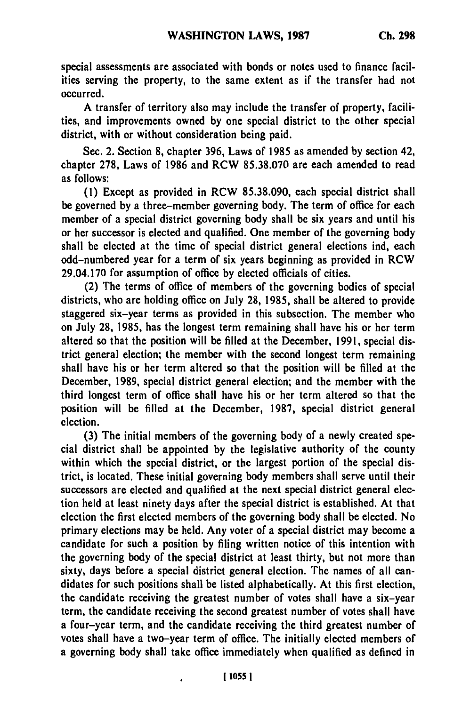special assessments are associated with bonds or notes used to finance facilities serving the property, to the same extent as if the transfer had not occurred.

**A** transfer of territory also may include the transfer of property, facilities, and improvements owned **by** one special district to the other special district, with or without consideration being paid.

Sec. 2. Section **8,** chapter **396,** Laws of **1985** as amended **by** section 42, chapter **278,** Laws of **1986** and RCW **85.38.070** are each amended to read as follows:

**(1)** Except as provided in RCW **85.38.090,** each special district shall be governed **by** a three-member governing body. The term of office for each member of a special district governing body shall be six years and until his or her successor is elected and qualified. One member of the governing body shall be elected at the time of special district general elections **ind,** each odd-numbered year for a term of six years beginning as provided in RCW 29.04.170 for assumption of office **by** elected officials of cities.

(2) The terms of office of members of the governing bodies of special districts, who are holding office on July **28, 1985,** shall be altered to provide staggered six-year terms as provided in this subsection. The member who on July **28, 1985,** has the longest term remaining shall have his or her term altered so that the position will be filled at the December, **1991,** special district general election; the member with the second longest term remaining shall have his or her term altered so that the position will be filled at the December, **1989,** special district general election; and the member with the third longest term of office shall have his or her term altered so that the position will be filled at the December, **1987,** special district general election.

**(3)** The initial members of the governing body of a newly created special district shall be appointed **by** the legislative authority of the county within which the special district, or the largest portion of the special district, is located. These initial governing body members shall serve until their successors are elected and qualified at the next special district general election held at least ninety days after the special district is established. At that election the first elected members of the governing body shall be elected. No primary elections may be held. Any voter of a special district may become a candidate for such a position **by** filing written notice of this intention with the governing body of the special district at least thirty, but not more than sixty, days before a special district general election. The names of all candidates for such positions shall be listed alphabetically. **At** this first election, the candidate receiving the greatest number of votes shall have a six-year term, the candidate receiving the second greatest number of votes shall have a four-year term, and the candidate receiving the third greatest number of votes shall have a two-year term of office. The initially elected members of a governing body shall take office immediately when qualified as defined in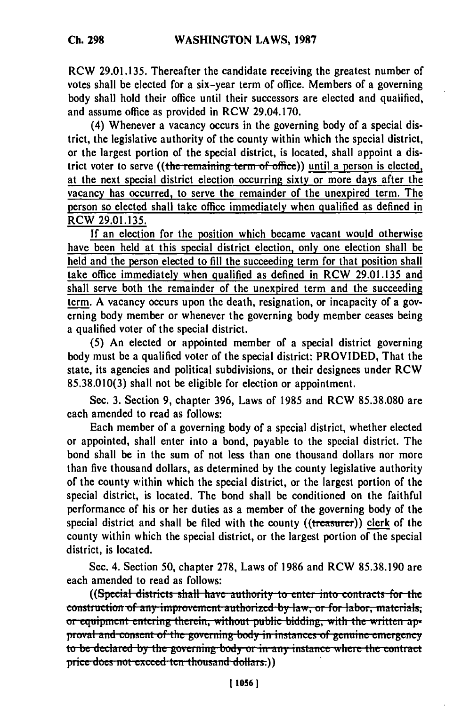RCW **29.01.135.** Thereafter the candidate receiving the greatest number of votes shall be elected for a six-year term of office. Members of a governing body shall hold their office until their successors are elected and qualified, and assume office as provided in RCW 29.04.170.

(4) Whenever a vacancy occurs in the governing body of a special district, the legislative authority of the county within which the special district, or the largest portion of the special district, is located, shall appoint a district voter to serve ((the remaining term of office)) until a person is elected, at the next special district election occurring sixty or more days after the vacancy has occurred, to serve the remainder of the unexpired term. The person so elected shall take office immediately when qualified as defined in RCW **29.01.135.**

**If** an election for the position which became vacant would otherwise have been held at this special district election, only one election shall be held and the person elected to **fill** the succeeding term for that position shall take office immediately when qualified as defined in RCW **29.01.135** and shall serve both the remainder of the unexpired term and the succeeding term. **A** vacancy occurs upon the death, resignation, or incapacity of a governing body member or whenever the governing body member ceases being a qualified voter of the special district.

**(5)** An elected or appointed member of a special district governing body must be a qualified voter of the special district: PROVIDED, That the state, its agencies and political subdivisions, or their designees under RCW **85.38.010(3)** shall not be eligible for election or appointment.

Sec. **3.** Section **9,** chapter **396,** Laws of **1985** and RCW **85.38.080** are each amended to read as follows:

Each member of a governing body of a special district, whether elected or appointed, shall enter into a bond, payable to the special district. The bond shall be in the sum of not less than one thousand dollars nor more than five thousand dollars, as determined **by** the county legislative authority of the county within which the special district, or the largest portion of the special district, is located. The bond shall be conditioned on the faithful performance of his or her duties as a member of the governing body of the special district and shall be filed with the county ((treasurer)) clerk of the county within which the special district, or the largest portion of the special district, is located.

Sec. 4. Section **50,** chapter **278,** Laws of **1986** and RCW **85.38.190 are** each amended to read as follows:

((Special districts shall have authority to enter into contracts for the construction of any improvement authorized by law, or for labor, materials, or equipment entering therein, without public bidding, with the written ap**proval and consent of the governing body in instances of genuine emergency** to be declared by the governing body or in any instance where the contract price does not exceed ten thousand dollars.))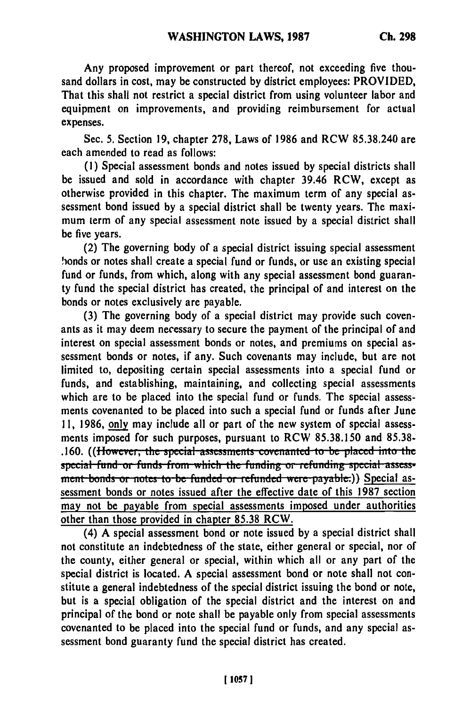Any proposed improvement or part thereof, not exceeding five thousand dollars in cost, may be constructed **by** district employees: PROVIDED, That this shall not restrict a special district from using volunteer labor and equipment on improvements, and providing reimbursement for actual expenses.

Sec. **5.** Section **19,** chapter **278,** Laws of **1986** and RCW **85.38.240** are each amended to read as follows:

**(1)** Special assessment bonds and notes issued **by** special districts shall be issued and sold in accordance with chapter 39.46 RCW, except as otherwise provided in this chapter. The maximum term of any special assessment bond issued **by** a special district shall be twenty years. The maximum term of any special assessment note issued **by** a special district shall be five years.

(2) The governing body of a special district issuing special assessment honds or notes shall create a special fund or funds, or use an existing special fund or funds, from which, along with any special assessment bond guaranty fund the special district has created, the principal of and interest on the bonds or notes exclusively are payable.

**(3)** The governing body of a special district may provide such covenants as it may deem necessary to secure the payment of the principal of and interest on special assessment bonds or notes, and premiums on special assessment bonds or notes, if any. Such covenants may include, but are not limited to, depositing certain special assessments into a special fund or funds, and establishing, maintaining, and collecting special assessments which are to be placed into the special fund or funds. The special assessments covenanted to be placed into such a special fund or funds after June **11, 1986,** only may include all or part of the new system of special assessments imposed for such purposes, pursuant to RCW **85.38.150** and **85.38- .160.** ((However, the special assessments covenanted to be placed into the special fund or funds from which the funding or refunding special assess-<br>ment bonds or notes to be funded or refunded were payable:)) Special assessment bonds or notes issued after the effective date of this **1987** section may not be payable from special assessments imposed under authorities other than those provided in chapter **85.38** RCW.

(4) **A** special assessment bond or note issued **by** a special district shall not constitute an indebtedness of the state, either general or special, nor of the county, either general or special, within which all or any part of the special district is located. **A** special assessment bond or note shall not constitute a general indebtedness of the special district issuing the bond or note, but is a special obligation of the special district and the interest on and principal of the bond or note shall be payable only from special assessments covenanted to be placed into the special fund or funds, and any special assessment bond guaranty fund the special district has created.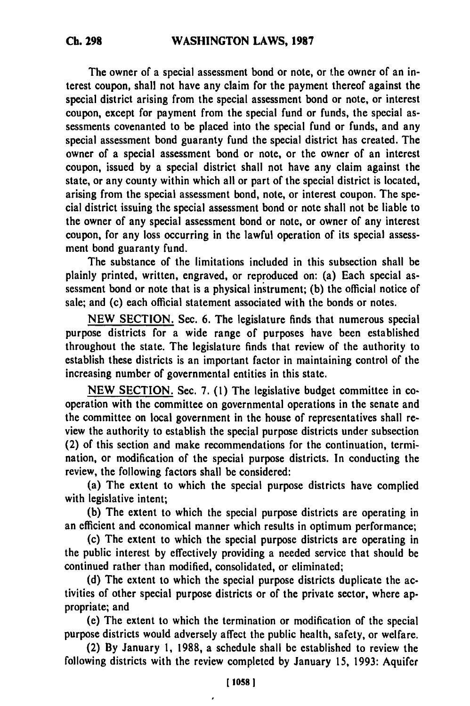The owner of a special assessment bond or note, or the owner of an interest coupon, shall not have any claim for the payment thereof against the special district arising from the special assessment bond or note, or interest coupon, except for payment from the special fund or funds, the special assessments covenanted to be placed into the special fund or funds, and any special assessment bond guaranty fund the special district has created. The owner of a special assessment bond or note, or the owner of an interest coupon, issued **by** a special district shall not have any claim against the state, or any county within which all or part of the special district is located, arising from the special assessment bond, note, or interest coupon. The special district issuing the special assessment bond or note shall not be liable to the owner of any special assessment bond or note, or owner of any interest coupon, for any loss occurring in the lawful operation of its special assessment bond guaranty fund.

The substance of the limitations included in this subsection shall be plainly printed, written, engraved, or reproduced on: (a) Each special assessment bond or note that is a physical instrument; **(b)** the official notice of sale; and (c) each official statement associated with the bonds or notes.

**NEW SECTION.** Sec. **6.** The legislature finds that numerous special purpose districts for a wide range of purposes have been established throughout the state. The legislature finds that review of the authority to establish these districts is an important factor in maintaining control of the increasing number of governmental entities in this state.

**NEW SECTION.** Sec. **7. (1)** The legislative budget committee in cooperation with the committee on governmental operations in the senate and the committee on local government in the house of representatives shall review the authority to establish the special purpose districts under subsection (2) of this section and make recommendations for the continuation, termination, or modification of the special purpose districts. In conducting the review, the following factors shall be considered:

(a) The extent to which the special purpose districts have complied with legislative intent;

**(b)** The extent to which the special purpose districts **are** operating in an efficient and economical manner which results in optimum performance;

(c) The extent to which the special purpose districts are operating in the public interest **by** effectively providing a needed service that should be continued rather than modified, consolidated, or eliminated;

**(d)** The extent to which the special purpose districts duplicate the activities of other special purpose districts or of the private sector, where appropriate; and

(e) The extent to which the termination or modification of the special purpose districts would adversely affect the public health, safety, or welfare.

(2) **By** January **1, 1988,** a schedule shall be established to review the following districts with the review completed **by** January **15, 1993:** Aquifer